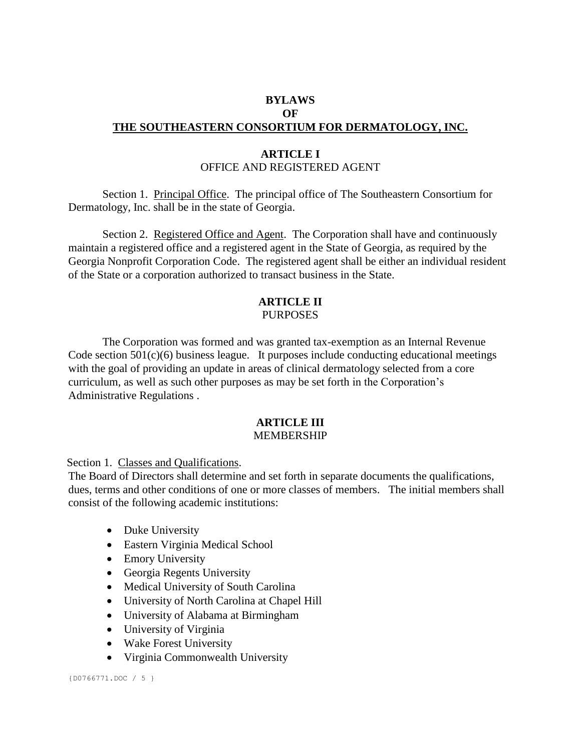# **BYLAWS OF THE SOUTHEASTERN CONSORTIUM FOR DERMATOLOGY, INC.**

# **ARTICLE I** OFFICE AND REGISTERED AGENT

Section 1. Principal Office. The principal office of The Southeastern Consortium for Dermatology, Inc. shall be in the state of Georgia.

Section 2. Registered Office and Agent. The Corporation shall have and continuously maintain a registered office and a registered agent in the State of Georgia, as required by the Georgia Nonprofit Corporation Code. The registered agent shall be either an individual resident of the State or a corporation authorized to transact business in the State.

# **ARTICLE II PURPOSES**

The Corporation was formed and was granted tax-exemption as an Internal Revenue Code section 501(c)(6) business league. It purposes include conducting educational meetings with the goal of providing an update in areas of clinical dermatology selected from a core curriculum, as well as such other purposes as may be set forth in the Corporation's Administrative Regulations .

### **ARTICLE III** MEMBERSHIP

Section 1. Classes and Qualifications.

The Board of Directors shall determine and set forth in separate documents the qualifications, dues, terms and other conditions of one or more classes of members. The initial members shall consist of the following academic institutions:

- Duke University
- Eastern Virginia Medical School
- Emory University
- Georgia Regents University
- Medical University of South Carolina
- University of North Carolina at Chapel Hill
- University of Alabama at Birmingham
- University of Virginia
- Wake Forest University
- Virginia Commonwealth University

{D0766771.DOC / 5 }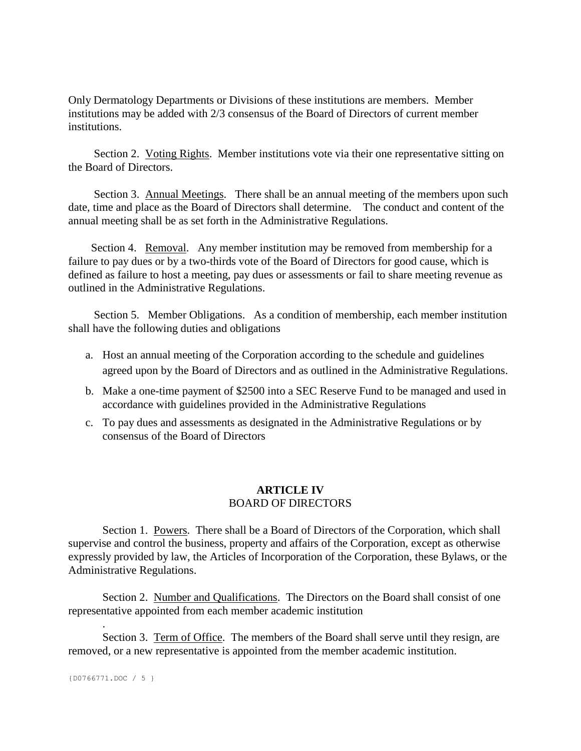Only Dermatology Departments or Divisions of these institutions are members. Member institutions may be added with 2/3 consensus of the Board of Directors of current member institutions.

 Section 2. Voting Rights. Member institutions vote via their one representative sitting on the Board of Directors.

 Section 3. Annual Meetings. There shall be an annual meeting of the members upon such date, time and place as the Board of Directors shall determine. The conduct and content of the annual meeting shall be as set forth in the Administrative Regulations.

Section 4. Removal. Any member institution may be removed from membership for a failure to pay dues or by a two-thirds vote of the Board of Directors for good cause, which is defined as failure to host a meeting, pay dues or assessments or fail to share meeting revenue as outlined in the Administrative Regulations.

Section 5. Member Obligations. As a condition of membership, each member institution shall have the following duties and obligations

- a. Host an annual meeting of the Corporation according to the schedule and guidelines agreed upon by the Board of Directors and as outlined in the Administrative Regulations.
- b. Make a one-time payment of \$2500 into a SEC Reserve Fund to be managed and used in accordance with guidelines provided in the Administrative Regulations
- c. To pay dues and assessments as designated in the Administrative Regulations or by consensus of the Board of Directors

# **ARTICLE IV**  BOARD OF DIRECTORS

Section 1. Powers. There shall be a Board of Directors of the Corporation, which shall supervise and control the business, property and affairs of the Corporation, except as otherwise expressly provided by law, the Articles of Incorporation of the Corporation, these Bylaws, or the Administrative Regulations.

Section 2. Number and Qualifications. The Directors on the Board shall consist of one representative appointed from each member academic institution

Section 3. Term of Office. The members of the Board shall serve until they resign, are removed, or a new representative is appointed from the member academic institution.

{D0766771.DOC / 5 }

.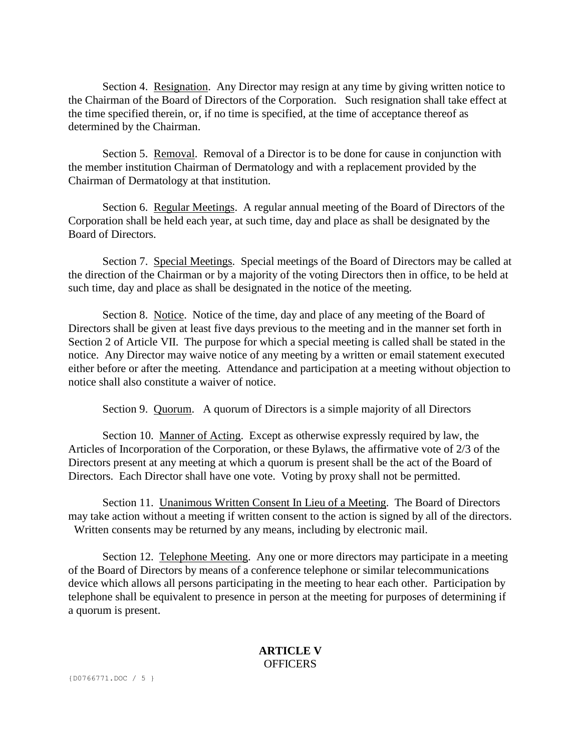Section 4. Resignation. Any Director may resign at any time by giving written notice to the Chairman of the Board of Directors of the Corporation. Such resignation shall take effect at the time specified therein, or, if no time is specified, at the time of acceptance thereof as determined by the Chairman.

Section 5. Removal. Removal of a Director is to be done for cause in conjunction with the member institution Chairman of Dermatology and with a replacement provided by the Chairman of Dermatology at that institution.

Section 6. Regular Meetings. A regular annual meeting of the Board of Directors of the Corporation shall be held each year, at such time, day and place as shall be designated by the Board of Directors.

Section 7. Special Meetings. Special meetings of the Board of Directors may be called at the direction of the Chairman or by a majority of the voting Directors then in office, to be held at such time, day and place as shall be designated in the notice of the meeting.

Section 8. Notice. Notice of the time, day and place of any meeting of the Board of Directors shall be given at least five days previous to the meeting and in the manner set forth in Section 2 of Article VII. The purpose for which a special meeting is called shall be stated in the notice. Any Director may waive notice of any meeting by a written or email statement executed either before or after the meeting. Attendance and participation at a meeting without objection to notice shall also constitute a waiver of notice.

Section 9. Quorum. A quorum of Directors is a simple majority of all Directors

Section 10. Manner of Acting. Except as otherwise expressly required by law, the Articles of Incorporation of the Corporation, or these Bylaws, the affirmative vote of 2/3 of the Directors present at any meeting at which a quorum is present shall be the act of the Board of Directors. Each Director shall have one vote. Voting by proxy shall not be permitted.

Section 11. Unanimous Written Consent In Lieu of a Meeting. The Board of Directors may take action without a meeting if written consent to the action is signed by all of the directors. Written consents may be returned by any means, including by electronic mail.

Section 12. Telephone Meeting. Any one or more directors may participate in a meeting of the Board of Directors by means of a conference telephone or similar telecommunications device which allows all persons participating in the meeting to hear each other. Participation by telephone shall be equivalent to presence in person at the meeting for purposes of determining if a quorum is present.

### **ARTICLE V OFFICERS**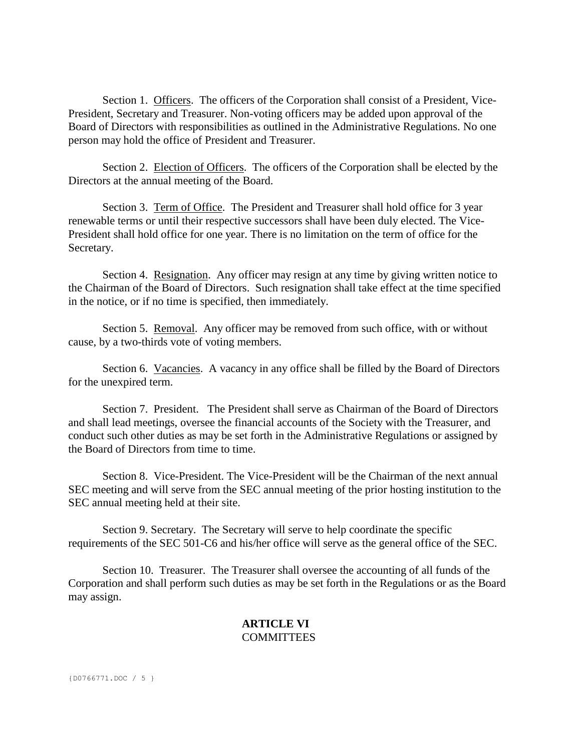Section 1. Officers. The officers of the Corporation shall consist of a President, Vice-President, Secretary and Treasurer. Non-voting officers may be added upon approval of the Board of Directors with responsibilities as outlined in the Administrative Regulations. No one person may hold the office of President and Treasurer.

Section 2. Election of Officers. The officers of the Corporation shall be elected by the Directors at the annual meeting of the Board.

Section 3. Term of Office. The President and Treasurer shall hold office for 3 year renewable terms or until their respective successors shall have been duly elected. The Vice-President shall hold office for one year. There is no limitation on the term of office for the Secretary.

Section 4. Resignation. Any officer may resign at any time by giving written notice to the Chairman of the Board of Directors. Such resignation shall take effect at the time specified in the notice, or if no time is specified, then immediately.

Section 5. Removal. Any officer may be removed from such office, with or without cause, by a two-thirds vote of voting members.

Section 6. Vacancies. A vacancy in any office shall be filled by the Board of Directors for the unexpired term.

Section 7. President. The President shall serve as Chairman of the Board of Directors and shall lead meetings, oversee the financial accounts of the Society with the Treasurer, and conduct such other duties as may be set forth in the Administrative Regulations or assigned by the Board of Directors from time to time.

Section 8. Vice-President. The Vice-President will be the Chairman of the next annual SEC meeting and will serve from the SEC annual meeting of the prior hosting institution to the SEC annual meeting held at their site.

Section 9. Secretary. The Secretary will serve to help coordinate the specific requirements of the SEC 501-C6 and his/her office will serve as the general office of the SEC.

Section 10. Treasurer. The Treasurer shall oversee the accounting of all funds of the Corporation and shall perform such duties as may be set forth in the Regulations or as the Board may assign.

### **ARTICLE VI COMMITTEES**